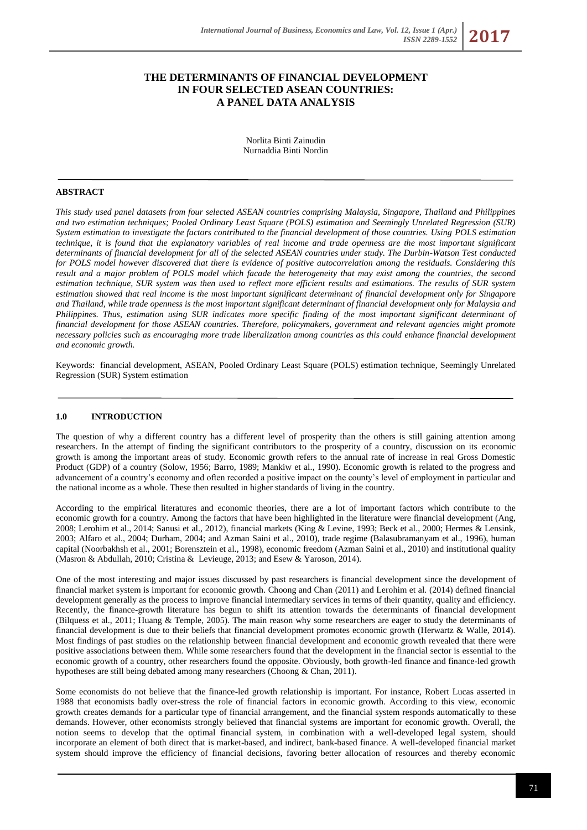# **THE DETERMINANTS OF FINANCIAL DEVELOPMENT IN FOUR SELECTED ASEAN COUNTRIES: A PANEL DATA ANALYSIS**

Norlita Binti Zainudin Nurnaddia Binti Nordin

## **ABSTRACT**

*This study used panel datasets from four selected ASEAN countries comprising Malaysia, Singapore, Thailand and Philippines and two estimation techniques; Pooled Ordinary Least Square (POLS) estimation and Seemingly Unrelated Regression (SUR) System estimation to investigate the factors contributed to the financial development of those countries. Using POLS estimation technique, it is found that the explanatory variables of real income and trade openness are the most important significant determinants of financial development for all of the selected ASEAN countries under study. The Durbin-Watson Test conducted for POLS model however discovered that there is evidence of positive autocorrelation among the residuals. Considering this result and a major problem of POLS model which facade the heterogeneity that may exist among the countries, the second estimation technique, SUR system was then used to reflect more efficient results and estimations. The results of SUR system estimation showed that real income is the most important significant determinant of financial development only for Singapore and Thailand, while trade openness is the most important significant determinant of financial development only for Malaysia and Philippines. Thus, estimation using SUR indicates more specific finding of the most important significant determinant of financial development for those ASEAN countries. Therefore, policymakers, government and relevant agencies might promote necessary policies such as encouraging more trade liberalization among countries as this could enhance financial development and economic growth.*

Keywords:financial development, ASEAN, Pooled Ordinary Least Square (POLS) estimation technique*,* Seemingly Unrelated Regression (SUR) System estimation

## **1.0 INTRODUCTION**

The question of why a different country has a different level of prosperity than the others is still gaining attention among researchers. In the attempt of finding the significant contributors to the prosperity of a country, discussion on its economic growth is among the important areas of study. Economic growth refers to the annual rate of increase in real Gross Domestic Product (GDP) of a country (Solow, 1956; Barro, 1989; Mankiw et al., 1990). Economic growth is related to the progress and advancement of a country's economy and often recorded a positive impact on the county's level of employment in particular and the national income as a whole. These then resulted in higher standards of living in the country.

According to the empirical literatures and economic theories, there are a lot of important factors which contribute to the economic growth for a country. Among the factors that have been highlighted in the literature were financial development (Ang, 2008; Lerohim et al., 2014; Sanusi et al., 2012), financial markets (King & Levine, 1993; Beck et al., 2000; Hermes & Lensink, 2003; Alfaro et al., 2004; Durham, 2004; and Azman Saini et al., 2010), trade regime (Balasubramanyam et al., 1996), human capital (Noorbakhsh et al., 2001; Borensztein et al., 1998), economic freedom (Azman Saini et al., 2010) and institutional quality (Masron & Abdullah, 2010; Cristina & Levieuge, 2013; and Esew & Yaroson, 2014).

One of the most interesting and major issues discussed by past researchers is financial development since the development of financial market system is important for economic growth. Choong and Chan (2011) and Lerohim et al. (2014) defined financial development generally as the process to improve financial intermediary services in terms of their quantity, quality and efficiency. Recently, the finance-growth literature has begun to shift its attention towards the determinants of financial development (Bilquess et al., 2011; Huang & Temple, 2005). The main reason why some researchers are eager to study the determinants of financial development is due to their beliefs that financial development promotes economic growth (Herwartz & Walle, 2014). Most findings of past studies on the relationship between financial development and economic growth revealed that there were positive associations between them. While some researchers found that the development in the financial sector is essential to the economic growth of a country, other researchers found the opposite. Obviously, both growth-led finance and finance-led growth hypotheses are still being debated among many researchers (Choong & Chan, 2011).

Some economists do not believe that the finance-led growth relationship is important. For instance, Robert Lucas asserted in 1988 that economists badly over-stress the role of financial factors in economic growth. According to this view, economic growth creates demands for a particular type of financial arrangement, and the financial system responds automatically to these demands. However, other economists strongly believed that financial systems are important for economic growth. Overall, the notion seems to develop that the optimal financial system, in combination with a well-developed legal system, should incorporate an element of both direct that is market-based, and indirect, bank-based finance. A well-developed financial market system should improve the efficiency of financial decisions, favoring better allocation of resources and thereby economic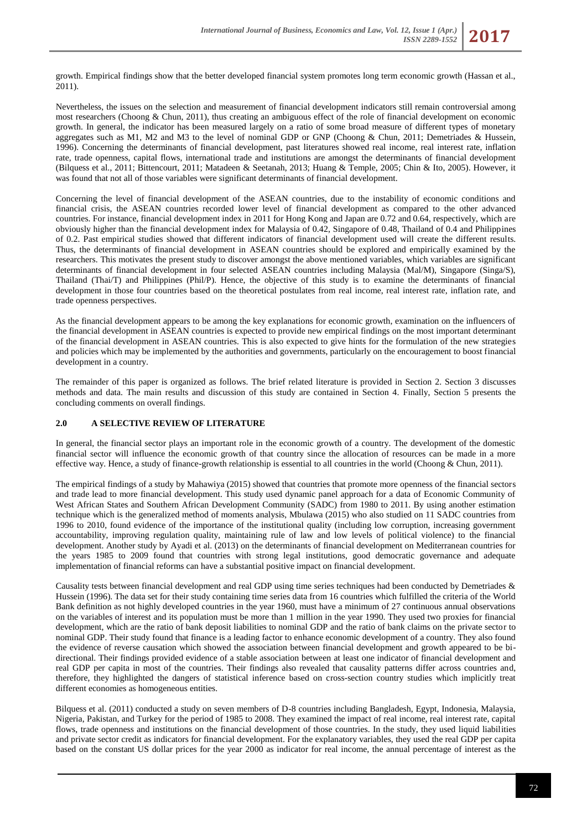growth. Empirical findings show that the better developed financial system promotes long term economic growth (Hassan et al., 2011).

Nevertheless, the issues on the selection and measurement of financial development indicators still remain controversial among most researchers (Choong & Chun, 2011), thus creating an ambiguous effect of the role of financial development on economic growth. In general, the indicator has been measured largely on a ratio of some broad measure of different types of monetary aggregates such as M1, M2 and M3 to the level of nominal GDP or GNP (Choong & Chun, 2011; Demetriades & Hussein, 1996). Concerning the determinants of financial development, past literatures showed real income, real interest rate, inflation rate, trade openness, capital flows, international trade and institutions are amongst the determinants of financial development (Bilquess et al., 2011; Bittencourt, 2011; Matadeen & Seetanah, 2013; Huang & Temple, 2005; Chin & Ito, 2005). However, it was found that not all of those variables were significant determinants of financial development.

Concerning the level of financial development of the ASEAN countries, due to the instability of economic conditions and financial crisis, the ASEAN countries recorded lower level of financial development as compared to the other advanced countries. For instance, financial development index in 2011 for Hong Kong and Japan are 0.72 and 0.64, respectively, which are obviously higher than the financial development index for Malaysia of 0.42, Singapore of 0.48, Thailand of 0.4 and Philippines of 0.2. Past empirical studies showed that different indicators of financial development used will create the different results. Thus, the determinants of financial development in ASEAN countries should be explored and empirically examined by the researchers. This motivates the present study to discover amongst the above mentioned variables, which variables are significant determinants of financial development in four selected ASEAN countries including Malaysia (Mal/M), Singapore (Singa/S), Thailand (Thai/T) and Philippines (Phil/P). Hence, the objective of this study is to examine the determinants of financial development in those four countries based on the theoretical postulates from real income, real interest rate, inflation rate, and trade openness perspectives.

As the financial development appears to be among the key explanations for economic growth, examination on the influencers of the financial development in ASEAN countries is expected to provide new empirical findings on the most important determinant of the financial development in ASEAN countries. This is also expected to give hints for the formulation of the new strategies and policies which may be implemented by the authorities and governments, particularly on the encouragement to boost financial development in a country.

The remainder of this paper is organized as follows. The brief related literature is provided in Section 2. Section 3 discusses methods and data. The main results and discussion of this study are contained in Section 4. Finally, Section 5 presents the concluding comments on overall findings.

# **2.0 A SELECTIVE REVIEW OF LITERATURE**

In general, the financial sector plays an important role in the economic growth of a country. The development of the domestic financial sector will influence the economic growth of that country since the allocation of resources can be made in a more effective way. Hence, a study of finance-growth relationship is essential to all countries in the world (Choong & Chun, 2011).

The empirical findings of a study by Mahawiya (2015) showed that countries that promote more openness of the financial sectors and trade lead to more financial development. This study used dynamic panel approach for a data of Economic Community of West African States and Southern African Development Community (SADC) from 1980 to 2011. By using another estimation technique which is the generalized method of moments analysis, Mbulawa (2015) who also studied on 11 SADC countries from 1996 to 2010, found evidence of the importance of the institutional quality (including low corruption, increasing government accountability, improving regulation quality, maintaining rule of law and low levels of political violence) to the financial development. Another study by Ayadi et al. (2013) on the determinants of financial development on Mediterranean countries for the years 1985 to 2009 found that countries with strong legal institutions, good democratic governance and adequate implementation of financial reforms can have a substantial positive impact on financial development.

Causality tests between financial development and real GDP using time series techniques had been conducted by Demetriades & Hussein (1996). The data set for their study containing time series data from 16 countries which fulfilled the criteria of the World Bank definition as not highly developed countries in the year 1960, must have a minimum of 27 continuous annual observations on the variables of interest and its population must be more than 1 million in the year 1990. They used two proxies for financial development, which are the ratio of bank deposit liabilities to nominal GDP and the ratio of bank claims on the private sector to nominal GDP. Their study found that finance is a leading factor to enhance economic development of a country. They also found the evidence of reverse causation which showed the association between financial development and growth appeared to be bidirectional. Their findings provided evidence of a stable association between at least one indicator of financial development and real GDP per capita in most of the countries. Their findings also revealed that causality patterns differ across countries and, therefore, they highlighted the dangers of statistical inference based on cross-section country studies which implicitly treat different economies as homogeneous entities.

Bilquess et al. (2011) conducted a study on seven members of D-8 countries including Bangladesh, Egypt, Indonesia, Malaysia, Nigeria, Pakistan, and Turkey for the period of 1985 to 2008. They examined the impact of real income, real interest rate, capital flows, trade openness and institutions on the financial development of those countries. In the study, they used liquid liabilities and private sector credit as indicators for financial development. For the explanatory variables, they used the real GDP per capita based on the constant US dollar prices for the year 2000 as indicator for real income, the annual percentage of interest as the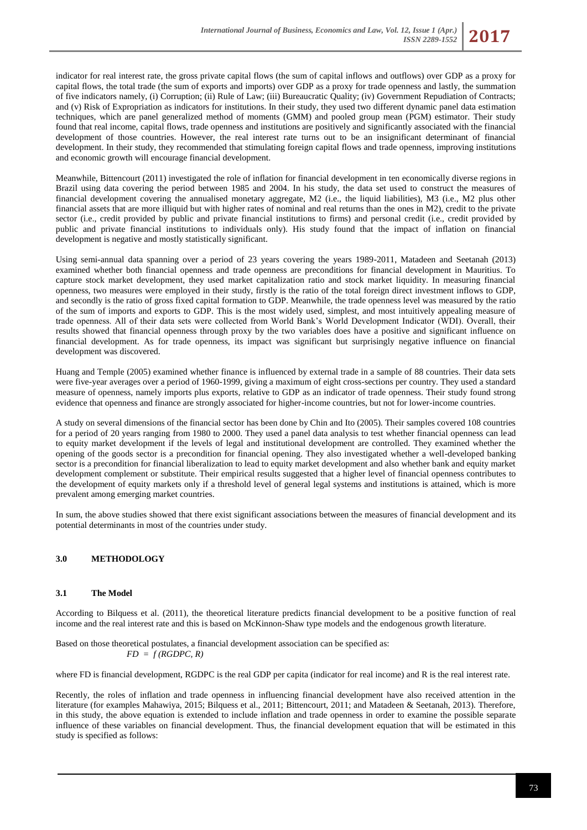indicator for real interest rate, the gross private capital flows (the sum of capital inflows and outflows) over GDP as a proxy for capital flows, the total trade (the sum of exports and imports) over GDP as a proxy for trade openness and lastly, the summation of five indicators namely, (i) Corruption; (ii) Rule of Law; (iii) Bureaucratic Quality; (iv) Government Repudiation of Contracts; and (v) Risk of Expropriation as indicators for institutions. In their study, they used two different dynamic panel data estimation techniques, which are panel generalized method of moments (GMM) and pooled group mean (PGM) estimator. Their study found that real income, capital flows, trade openness and institutions are positively and significantly associated with the financial development of those countries. However, the real interest rate turns out to be an insignificant determinant of financial development. In their study, they recommended that stimulating foreign capital flows and trade openness, improving institutions and economic growth will encourage financial development.

Meanwhile, Bittencourt (2011) investigated the role of inflation for financial development in ten economically diverse regions in Brazil using data covering the period between 1985 and 2004. In his study, the data set used to construct the measures of financial development covering the annualised monetary aggregate, M2 (i.e., the liquid liabilities), M3 (i.e., M2 plus other financial assets that are more illiquid but with higher rates of nominal and real returns than the ones in M2), credit to the private sector (i.e., credit provided by public and private financial institutions to firms) and personal credit (i.e., credit provided by public and private financial institutions to individuals only). His study found that the impact of inflation on financial development is negative and mostly statistically significant.

Using semi-annual data spanning over a period of 23 years covering the years 1989-2011, Matadeen and Seetanah (2013) examined whether both financial openness and trade openness are preconditions for financial development in Mauritius. To capture stock market development, they used market capitalization ratio and stock market liquidity. In measuring financial openness, two measures were employed in their study, firstly is the ratio of the total foreign direct investment inflows to GDP, and secondly is the ratio of gross fixed capital formation to GDP. Meanwhile, the trade openness level was measured by the ratio of the sum of imports and exports to GDP. This is the most widely used, simplest, and most intuitively appealing measure of trade openness. All of their data sets were collected from World Bank's World Development Indicator (WDI). Overall, their results showed that financial openness through proxy by the two variables does have a positive and significant influence on financial development. As for trade openness, its impact was significant but surprisingly negative influence on financial development was discovered.

Huang and Temple (2005) examined whether finance is influenced by external trade in a sample of 88 countries. Their data sets were five-year averages over a period of 1960-1999, giving a maximum of eight cross-sections per country. They used a standard measure of openness, namely imports plus exports, relative to GDP as an indicator of trade openness. Their study found strong evidence that openness and finance are strongly associated for higher-income countries, but not for lower-income countries.

A study on several dimensions of the financial sector has been done by Chin and Ito (2005). Their samples covered 108 countries for a period of 20 years ranging from 1980 to 2000. They used a panel data analysis to test whether financial openness can lead to equity market development if the levels of legal and institutional development are controlled. They examined whether the opening of the goods sector is a precondition for financial opening. They also investigated whether a well-developed banking sector is a precondition for financial liberalization to lead to equity market development and also whether bank and equity market development complement or substitute. Their empirical results suggested that a higher level of financial openness contributes to the development of equity markets only if a threshold level of general legal systems and institutions is attained, which is more prevalent among emerging market countries.

In sum, the above studies showed that there exist significant associations between the measures of financial development and its potential determinants in most of the countries under study.

# **3.0 METHODOLOGY**

# **3.1 The Model**

According to Bilquess et al. (2011), the theoretical literature predicts financial development to be a positive function of real income and the real interest rate and this is based on McKinnon-Shaw type models and the endogenous growth literature.

Based on those theoretical postulates, a financial development association can be specified as:  $FD = f(RGDPC, R)$ 

where FD is financial development, RGDPC is the real GDP per capita (indicator for real income) and R is the real interest rate.

Recently, the roles of inflation and trade openness in influencing financial development have also received attention in the literature (for examples Mahawiya, 2015; Bilquess et al., 2011; Bittencourt, 2011; and Matadeen & Seetanah, 2013). Therefore, in this study, the above equation is extended to include inflation and trade openness in order to examine the possible separate influence of these variables on financial development. Thus, the financial development equation that will be estimated in this study is specified as follows: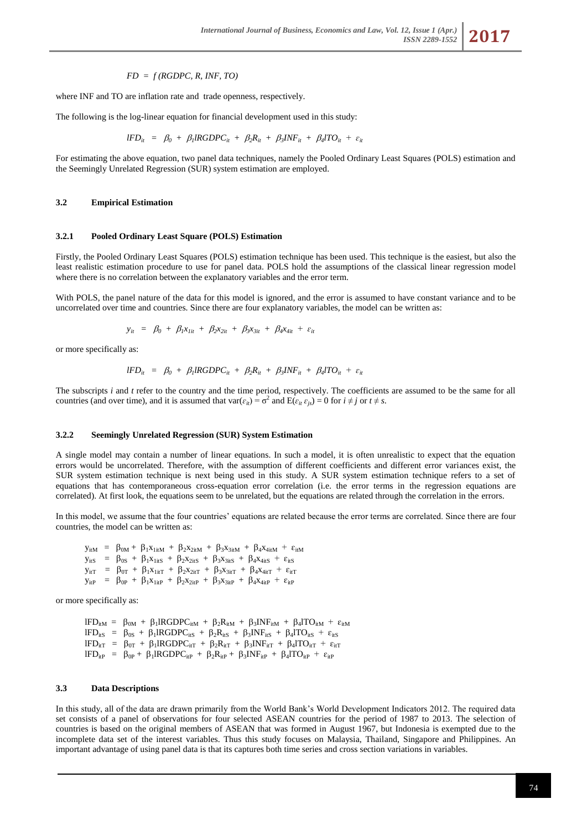## *FD = f (RGDPC, R, INF, TO)*

where INF and TO are inflation rate and trade openness, respectively.

The following is the log-linear equation for financial development used in this study:

$$
IFD_{it} = \beta_0 + \beta_1 \text{RGDPC}_{it} + \beta_2 R_{it} + \beta_3 \text{INF}_{it} + \beta_4 \text{ITO}_{it} + \varepsilon_{it}
$$

For estimating the above equation, two panel data techniques, namely the Pooled Ordinary Least Squares (POLS) estimation and the Seemingly Unrelated Regression (SUR) system estimation are employed.

#### **3.2 Empirical Estimation**

#### **3.2.1 Pooled Ordinary Least Square (POLS) Estimation**

Firstly, the Pooled Ordinary Least Squares (POLS) estimation technique has been used. This technique is the easiest, but also the least realistic estimation procedure to use for panel data. POLS hold the assumptions of the classical linear regression model where there is no correlation between the explanatory variables and the error term.

With POLS, the panel nature of the data for this model is ignored, and the error is assumed to have constant variance and to be uncorrelated over time and countries. Since there are four explanatory variables, the model can be written as:

$$
y_{it} = \beta_0 + \beta_1 x_{1it} + \beta_2 x_{2it} + \beta_3 x_{3it} + \beta_4 x_{4it} + \varepsilon_{it}
$$

or more specifically as:

$$
IFD_{it} = \beta_0 + \beta_1 \text{RGDPC}_{it} + \beta_2 R_{it} + \beta_3 \text{INF}_{it} + \beta_4 \text{TO}_{it} + \varepsilon_{it}
$$

The subscripts *i* and *t* refer to the country and the time period, respectively. The coefficients are assumed to be the same for all countries (and over time), and it is assumed that  $var(\varepsilon_{it}) = \sigma^2$  and  $E(\varepsilon_{it} \varepsilon_{js}) = 0$  for  $i \neq j$  or  $t \neq s$ .

### **3.2.2 Seemingly Unrelated Regression (SUR) System Estimation**

A single model may contain a number of linear equations. In such a model, it is often unrealistic to expect that the equation errors would be uncorrelated. Therefore, with the assumption of different coefficients and different error variances exist, the SUR system estimation technique is next being used in this study. A SUR system estimation technique refers to a set of equations that has contemporaneous cross-equation error correlation (i.e. the error terms in the regression equations are correlated). At first look, the equations seem to be unrelated, but the equations are related through the correlation in the errors.

In this model, we assume that the four countries' equations are related because the error terms are correlated. Since there are four countries, the model can be written as:

 $y_{itM}$  =  $\beta_{0M} + \beta_1 x_{1itM} + \beta_2 x_{2itM} + \beta_3 x_{3itM} + \beta_4 x_{4itM} + \varepsilon_{itM}$  $y_{itS}$  =  $\beta_{0S}$  +  $\beta_1x_{1itS}$  +  $\beta_2x_{2itS}$  +  $\beta_3x_{3itS}$  +  $\beta_4x_{4itS}$  +  $\varepsilon_{itS}$  $y_{\text{if}} = \beta_{0T} + \beta_1 x_{1\text{if}} + \beta_2 x_{2\text{if}} + \beta_3 x_{3\text{if}} + \beta_4 x_{4\text{if}} + \varepsilon_{\text{if}}$  $y_{itP}$  =  $\beta_{0P}$  +  $\beta_1x_{1itP}$  +  $\beta_2x_{2itP}$  +  $\beta_3x_{3itP}$  +  $\beta_4x_{4itP}$  +  $\varepsilon_{itP}$ 

or more specifically as:

 $\text{IFD}_{\text{itM}} = \beta_{0\text{M}} + \beta_1 \text{IRGDPC}_{\text{itM}} + \beta_2 \text{R}_{\text{itM}} + \beta_3 \text{INF}_{\text{itM}} + \beta_4 \text{ITO}_{\text{itM}} + \varepsilon_{\text{itM}}$  $\text{IFD}_{\text{itS}} = \beta_{0\text{S}} + \beta_1 \text{IRGDPC}_{\text{itS}} + \beta_2 \text{R}_{\text{itS}} + \beta_3 \text{INF}_{\text{itS}} + \beta_4 \text{ITO}_{\text{itS}} + \varepsilon_{\text{itS}}$  $\text{IFD}_{\text{itT}} = \beta_{0\text{T}} + \beta_1 \text{IRGDPC}_{\text{itT}} + \beta_2 \text{R}_{\text{itT}} + \beta_3 \text{INF}_{\text{itT}} + \beta_4 \text{ITO}_{\text{itT}} + \varepsilon_{\text{itT}}$  $\text{IFD}_{\text{itP}} = \beta_{0\text{P}} + \beta_1 \text{IRGDPC}_{\text{itP}} + \beta_2 \text{R}_{\text{itP}} + \beta_3 \text{INF}_{\text{itP}} + \beta_4 \text{ITO}_{\text{itP}} + \epsilon_{\text{itP}}$ 

# **3.3 Data Descriptions**

In this study, all of the data are drawn primarily from the World Bank's World Development Indicators 2012. The required data set consists of a panel of observations for four selected ASEAN countries for the period of 1987 to 2013. The selection of countries is based on the original members of ASEAN that was formed in August 1967, but Indonesia is exempted due to the incomplete data set of the interest variables. Thus this study focuses on Malaysia, Thailand, Singapore and Philippines. An important advantage of using panel data is that its captures both time series and cross section variations in variables.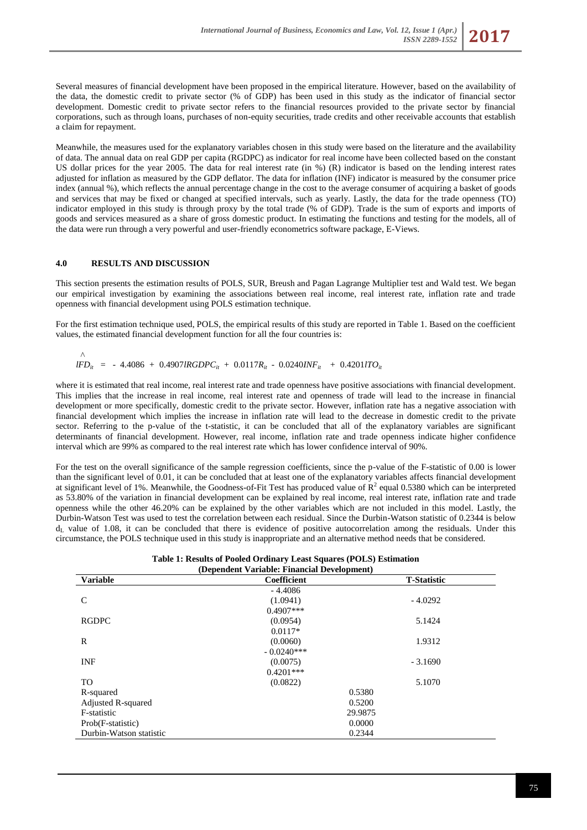

Several measures of financial development have been proposed in the empirical literature. However, based on the availability of the data, the domestic credit to private sector (% of GDP) has been used in this study as the indicator of financial sector development. Domestic credit to private sector refers to the financial resources provided to the private sector by financial corporations, such as through loans, purchases of non-equity securities, trade credits and other receivable accounts that establish a claim for repayment.

Meanwhile, the measures used for the explanatory variables chosen in this study were based on the literature and the availability of data. The annual data on real GDP per capita (RGDPC) as indicator for real income have been collected based on the constant US dollar prices for the year 2005. The data for real interest rate (in %) (R) indicator is based on the lending interest rates adjusted for inflation as measured by the GDP deflator. The data for inflation (INF) indicator is measured by the consumer price index (annual %), which reflects the annual percentage change in the cost to the average consumer of acquiring a basket of goods and services that may be fixed or changed at specified intervals, such as yearly. Lastly, the data for the trade openness (TO) indicator employed in this study is through proxy by the total trade (% of GDP). Trade is the sum of exports and imports of goods and services measured as a share of gross domestic product. In estimating the functions and testing for the models, all of the data were run through a very powerful and user-friendly econometrics software package, E-Views.

## **4.0 RESULTS AND DISCUSSION**

This section presents the estimation results of POLS, SUR, Breush and Pagan Lagrange Multiplier test and Wald test. We began our empirical investigation by examining the associations between real income, real interest rate, inflation rate and trade openness with financial development using POLS estimation technique.

For the first estimation technique used, POLS, the empirical results of this study are reported in Table 1. Based on the coefficient values, the estimated financial development function for all the four countries is:

$$
\wedge
$$
  
IFD<sub>it</sub> = -4.4086 + 0.4907 $IRGDPC_{it}$  + 0.0117R<sub>it</sub> - 0.0240 $INF_{it}$  + 0.4201 $lTO_{it}$ 

where it is estimated that real income, real interest rate and trade openness have positive associations with financial development. This implies that the increase in real income, real interest rate and openness of trade will lead to the increase in financial development or more specifically, domestic credit to the private sector. However, inflation rate has a negative association with financial development which implies the increase in inflation rate will lead to the decrease in domestic credit to the private sector. Referring to the p-value of the t-statistic, it can be concluded that all of the explanatory variables are significant determinants of financial development. However, real income, inflation rate and trade openness indicate higher confidence interval which are 99% as compared to the real interest rate which has lower confidence interval of 90%.

For the test on the overall significance of the sample regression coefficients, since the p-value of the F-statistic of 0.00 is lower than the significant level of 0.01, it can be concluded that at least one of the explanatory variables affects financial development at significant level of 1%. Meanwhile, the Goodness-of-Fit Test has produced value of  $\mathbb{R}^2$  equal 0.5380 which can be interpreted as 53.80% of the variation in financial development can be explained by real income, real interest rate, inflation rate and trade openness while the other 46.20% can be explained by the other variables which are not included in this model. Lastly, the Durbin-Watson Test was used to test the correlation between each residual. Since the Durbin-Watson statistic of 0.2344 is below  $d<sub>I</sub>$  value of 1.08, it can be concluded that there is evidence of positive autocorrelation among the residuals. Under this circumstance, the POLS technique used in this study is inappropriate and an alternative method needs that be considered.

| Table 1: Results of Pooled Ordinary Least Squares (POLS) Estimation |  |  |  |
|---------------------------------------------------------------------|--|--|--|
| (Dependent Variable: Financial Development)                         |  |  |  |

| Dependent variable: Financial Development) |              |                    |  |
|--------------------------------------------|--------------|--------------------|--|
| <b>Variable</b>                            | Coefficient  | <b>T-Statistic</b> |  |
|                                            | $-4.4086$    |                    |  |
| C                                          | (1.0941)     | $-4.0292$          |  |
|                                            | $0.4907$ *** |                    |  |
| <b>RGDPC</b>                               | (0.0954)     | 5.1424             |  |
|                                            | $0.0117*$    |                    |  |
| R                                          | (0.0060)     | 1.9312             |  |
|                                            | $-0.0240***$ |                    |  |
| <b>INF</b>                                 | (0.0075)     | $-3.1690$          |  |
|                                            | $0.4201***$  |                    |  |
| TO.                                        | (0.0822)     | 5.1070             |  |
| R-squared                                  |              | 0.5380             |  |
| Adjusted R-squared                         | 0.5200       |                    |  |
| F-statistic                                | 29.9875      |                    |  |
| Prob(F-statistic)                          | 0.0000       |                    |  |
| Durbin-Watson statistic                    | 0.2344       |                    |  |
|                                            |              |                    |  |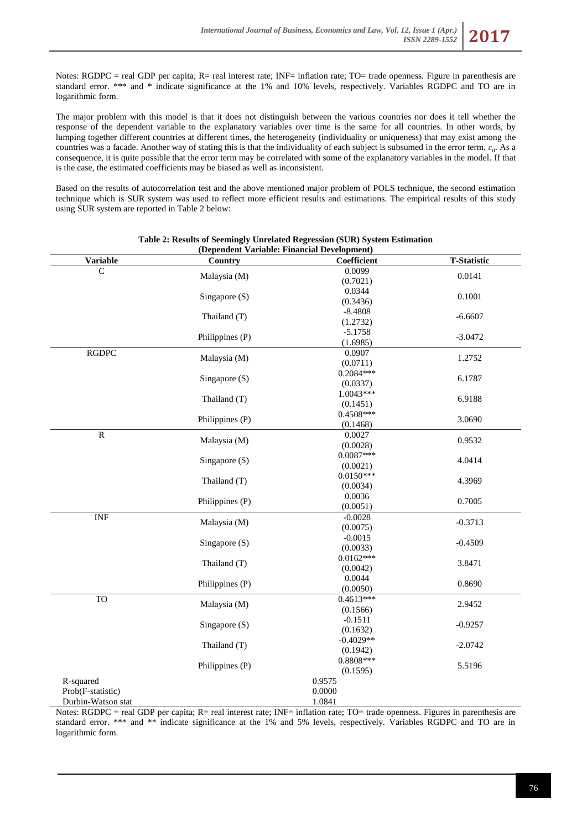Notes: RGDPC = real GDP per capita; R= real interest rate; INF= inflation rate; TO= trade openness. Figure in parenthesis are standard error. \*\*\* and \* indicate significance at the 1% and 10% levels, respectively. Variables RGDPC and TO are in logarithmic form.

The major problem with this model is that it does not distinguish between the various countries nor does it tell whether the response of the dependent variable to the explanatory variables over time is the same for all countries. In other words, by lumping together different countries at different times, the heterogeneity (individuality or uniqueness) that may exist among the countries was a facade. Another way of stating this is that the individuality of each subject is subsumed in the error term,  $\varepsilon_{it}$ . As a consequence, it is quite possible that the error term may be correlated with some of the explanatory variables in the model. If that is the case, the estimated coefficients may be biased as well as inconsistent.

Based on the results of autocorrelation test and the above mentioned major problem of POLS technique, the second estimation technique which is SUR system was used to reflect more efficient results and estimations. The empirical results of this study using SUR system are reported in Table 2 below:

| <b>Variable</b>    | Country         | Coefficient | <b>T-Statistic</b> |
|--------------------|-----------------|-------------|--------------------|
| C                  | Malaysia (M)    | 0.0099      | 0.0141             |
|                    |                 | (0.7021)    |                    |
|                    | Singapore (S)   | 0.0344      | 0.1001             |
|                    |                 | (0.3436)    |                    |
|                    | Thailand (T)    | $-8.4808$   | $-6.6607$          |
|                    |                 | (1.2732)    |                    |
|                    | Philippines (P) | $-5.1758$   | $-3.0472$          |
|                    |                 | (1.6985)    |                    |
| <b>RGDPC</b>       | Malaysia (M)    | 0.0907      | 1.2752             |
|                    |                 | (0.0711)    |                    |
|                    | Singapore (S)   | $0.2084***$ | 6.1787             |
|                    |                 | (0.0337)    |                    |
|                    | Thailand (T)    | $1.0043***$ | 6.9188             |
|                    |                 | (0.1451)    |                    |
|                    | Philippines (P) | $0.4508***$ | 3.0690             |
|                    |                 | (0.1468)    |                    |
| ${\bf R}$          | Malaysia (M)    | 0.0027      | 0.9532             |
|                    |                 | (0.0028)    |                    |
|                    | Singapore (S)   | $0.0087***$ | 4.0414             |
|                    |                 | (0.0021)    |                    |
|                    | Thailand (T)    | $0.0150***$ | 4.3969             |
|                    |                 | (0.0034)    |                    |
|                    | Philippines (P) | 0.0036      | 0.7005             |
|                    |                 | (0.0051)    |                    |
| <b>INF</b>         | Malaysia (M)    | $-0.0028$   | $-0.3713$          |
|                    |                 | (0.0075)    |                    |
|                    | Singapore (S)   | $-0.0015$   | $-0.4509$          |
|                    |                 | (0.0033)    |                    |
|                    | Thailand (T)    | $0.0162***$ | 3.8471             |
|                    |                 | (0.0042)    |                    |
|                    | Philippines (P) | 0.0044      | 0.8690             |
|                    |                 | (0.0050)    |                    |
| <b>TO</b>          | Malaysia (M)    | $0.4613***$ | 2.9452             |
|                    |                 | (0.1566)    |                    |
|                    | Singapore (S)   | $-0.1511$   | $-0.9257$          |
|                    |                 | (0.1632)    |                    |
|                    | Thailand (T)    | $-0.4029**$ | $-2.0742$          |
|                    |                 | (0.1942)    |                    |
|                    | Philippines (P) | 0.8808***   | 5.5196             |
|                    |                 | (0.1595)    |                    |
| R-squared          |                 | 0.9575      |                    |
| Prob(F-statistic)  |                 | 0.0000      |                    |
| Durbin-Watson stat |                 | 1.0841      |                    |

## **Table 2: Results of Seemingly Unrelated Regression (SUR) System Estimation (Dependent Variable: Financial Development)**

Notes: RGDPC = real GDP per capita; R= real interest rate; INF= inflation rate; TO= trade openness. Figures in parenthesis are standard error. \*\*\* and \*\* indicate significance at the 1% and 5% levels, respectively. Variables RGDPC and TO are in logarithmic form.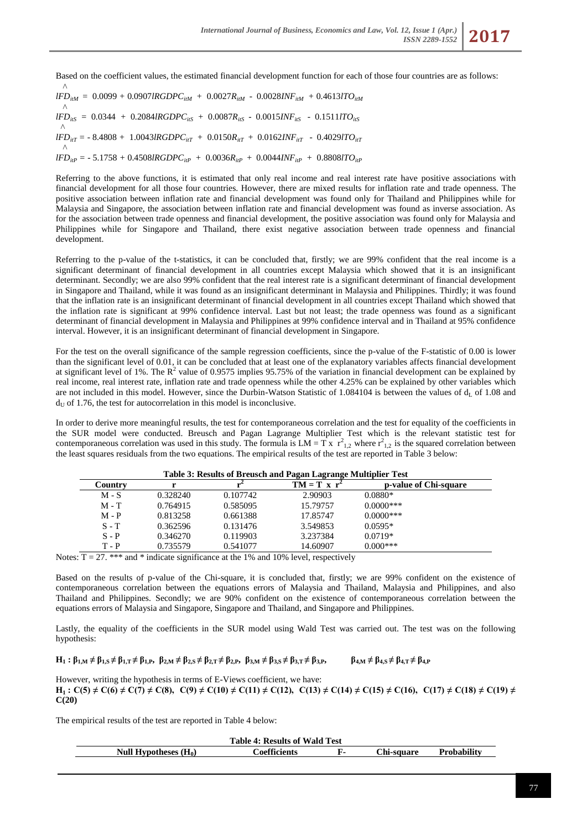Based on the coefficient values, the estimated financial development function for each of those four countries are as follows:

 $\wedge$  $$  $\Lambda$  $lFD_{irS} = 0.0344 + 0.2084lRGDPC_{irS} + 0.0087R_{irS} - 0.0015INF_{irS} - 0.1511lTO_{irS}$  $\wedge$  *= - 8.4808 + 1.0043<i>lRGDPC*<sub>*itT*</sub> + 0.0150*R*<sub>*itT*</sub> + 0.0162*INF*<sub>*itT*</sub> - 0.4029*lTO*<sub>*itT*</sub>  $\wedge$  $lFD_{itP}$  =  $-5.1758 + 0.4508lRGDPC_{itP} + 0.0036R_{itP} + 0.0044INF_{itP} + 0.8808lTO_{itP}$ 

Referring to the above functions, it is estimated that only real income and real interest rate have positive associations with financial development for all those four countries. However, there are mixed results for inflation rate and trade openness. The positive association between inflation rate and financial development was found only for Thailand and Philippines while for Malaysia and Singapore, the association between inflation rate and financial development was found as inverse association. As for the association between trade openness and financial development, the positive association was found only for Malaysia and Philippines while for Singapore and Thailand, there exist negative association between trade openness and financial development.

Referring to the p-value of the t-statistics, it can be concluded that, firstly; we are 99% confident that the real income is a significant determinant of financial development in all countries except Malaysia which showed that it is an insignificant determinant. Secondly; we are also 99% confident that the real interest rate is a significant determinant of financial development in Singapore and Thailand, while it was found as an insignificant determinant in Malaysia and Philippines. Thirdly; it was found that the inflation rate is an insignificant determinant of financial development in all countries except Thailand which showed that the inflation rate is significant at 99% confidence interval. Last but not least; the trade openness was found as a significant determinant of financial development in Malaysia and Philippines at 99% confidence interval and in Thailand at 95% confidence interval. However, it is an insignificant determinant of financial development in Singapore.

For the test on the overall significance of the sample regression coefficients, since the p-value of the F-statistic of 0.00 is lower than the significant level of 0.01, it can be concluded that at least one of the explanatory variables affects financial development at significant level of 1%. The  $R^2$  value of 0.9575 implies 95.75% of the variation in financial development can be explained by real income, real interest rate, inflation rate and trade openness while the other 4.25% can be explained by other variables which are not included in this model. However, since the Durbin-Watson Statistic of 1.084104 is between the values of  $d_L$  of 1.08 and  $d_U$  of 1.76, the test for autocorrelation in this model is inconclusive.

In order to derive more meaningful results, the test for contemporaneous correlation and the test for equality of the coefficients in the SUR model were conducted. Breusch and Pagan Lagrange Multiplier Test which is the relevant statistic test for contemporaneous correlation was used in this study. The formula is  $LM = Tx r_{1,2}^2$  where  $r_{1,2}^2$  is the squared correlation between the least squares residuals from the two equations. The empirical results of the test are reported in Table 3 below:

| Table 3: Results of Breusch and Pagan Lagrange Multiplier Test |          |          |                |                       |
|----------------------------------------------------------------|----------|----------|----------------|-----------------------|
| Country                                                        |          |          | $TM = T x r^2$ | p-value of Chi-square |
| $M-S$                                                          | 0.328240 | 0.107742 | 2.90903        | $0.0880*$             |
| $M - T$                                                        | 0.764915 | 0.585095 | 15.79757       | $0.0000$ ***          |
| $M - P$                                                        | 0.813258 | 0.661388 | 17.85747       | $0.0000$ ***          |
| $S - T$                                                        | 0.362596 | 0.131476 | 3.549853       | $0.0595*$             |
| $S - P$                                                        | 0.346270 | 0.119903 | 3.237384       | $0.0719*$             |
| T - P                                                          | 0.735579 | 0.541077 | 14.60907       | $0.000***$            |

**Table 3: Results of Breusch and Pagan Lagrange Multiplier Test**

Notes:  $T = 27$ . \*\*\* and \* indicate significance at the 1% and 10% level, respectively

Based on the results of p-value of the Chi-square, it is concluded that, firstly; we are 99% confident on the existence of contemporaneous correlation between the equations errors of Malaysia and Thailand, Malaysia and Philippines, and also Thailand and Philippines. Secondly; we are 90% confident on the existence of contemporaneous correlation between the equations errors of Malaysia and Singapore, Singapore and Thailand, and Singapore and Philippines.

Lastly, the equality of the coefficients in the SUR model using Wald Test was carried out. The test was on the following hypothesis:

 $H_1: \beta_{1,M} \neq \beta_{1,S} \neq \beta_{1,T} \neq \beta_{1,P}, \ \beta_{2,M} \neq \beta_{2,S} \neq \beta_{2,T} \neq \beta_{2,P}, \ \beta_{3,M} \neq \beta_{3,S} \neq \beta_{3,T} \neq \beta_{3,P},$   $\beta_{4,M} \neq \beta_{4,S} \neq \beta_{4,T} \neq \beta_{4,P}$ 

However, writing the hypothesis in terms of E-Views coefficient, we have: **H**<sub>1</sub> **:** C(5)  $\neq$  C(6)  $\neq$  C(7)  $\neq$  C(8), C(9)  $\neq$  C(10)  $\neq$  C(11)  $\neq$  C(12), C(13)  $\neq$  C(14)  $\neq$  C(15)  $\neq$  C(16), C(17)  $\neq$  C(18)  $\neq$  C(19)  $\neq$ **C(20)**

The empirical results of the test are reported in Table 4 below:

| <b>Table 4: Results of Wald Test</b> |                     |    |            |             |
|--------------------------------------|---------------------|----|------------|-------------|
| Null Hypotheses $(H_0)$              | <b>Coefficients</b> | F. | Chi-square | Probabilitv |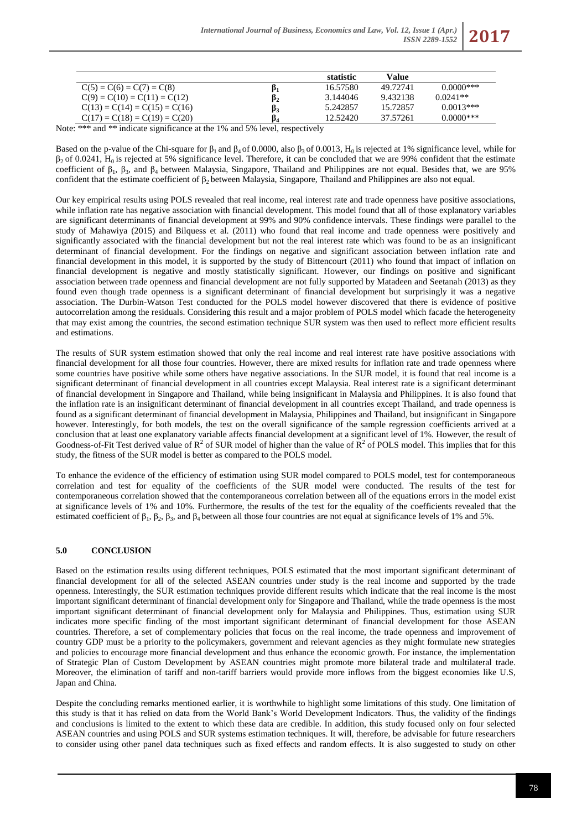

Note: \*\*\* and \*\* indicate significance at the 1% and 5% level, respectively

Based on the p-value of the Chi-square for  $\beta_1$  and  $\beta_4$  of 0.0000, also  $\beta_3$  of 0.0013, H<sub>0</sub> is rejected at 1% significance level, while for  $β<sub>2</sub>$  of 0.0241, H<sub>0</sub> is rejected at 5% significance level. Therefore, it can be concluded that we are 99% confident that the estimate coefficient of  $β_1$ ,  $β_3$ , and  $β_4$  between Malaysia, Singapore, Thailand and Philippines are not equal. Besides that, we are 95% confident that the estimate coefficient of β<sub>2</sub> between Malaysia, Singapore, Thailand and Philippines are also not equal.

Our key empirical results using POLS revealed that real income, real interest rate and trade openness have positive associations, while inflation rate has negative association with financial development. This model found that all of those explanatory variables are significant determinants of financial development at 99% and 90% confidence intervals. These findings were parallel to the study of Mahawiya (2015) and Bilquess et al. (2011) who found that real income and trade openness were positively and significantly associated with the financial development but not the real interest rate which was found to be as an insignificant determinant of financial development. For the findings on negative and significant association between inflation rate and financial development in this model, it is supported by the study of Bittencourt (2011) who found that impact of inflation on financial development is negative and mostly statistically significant. However, our findings on positive and significant association between trade openness and financial development are not fully supported by Matadeen and Seetanah (2013) as they found even though trade openness is a significant determinant of financial development but surprisingly it was a negative association. The Durbin-Watson Test conducted for the POLS model however discovered that there is evidence of positive autocorrelation among the residuals. Considering this result and a major problem of POLS model which facade the heterogeneity that may exist among the countries, the second estimation technique SUR system was then used to reflect more efficient results and estimations.

The results of SUR system estimation showed that only the real income and real interest rate have positive associations with financial development for all those four countries. However, there are mixed results for inflation rate and trade openness where some countries have positive while some others have negative associations. In the SUR model, it is found that real income is a significant determinant of financial development in all countries except Malaysia. Real interest rate is a significant determinant of financial development in Singapore and Thailand, while being insignificant in Malaysia and Philippines. It is also found that the inflation rate is an insignificant determinant of financial development in all countries except Thailand, and trade openness is found as a significant determinant of financial development in Malaysia, Philippines and Thailand, but insignificant in Singapore however. Interestingly, for both models, the test on the overall significance of the sample regression coefficients arrived at a conclusion that at least one explanatory variable affects financial development at a significant level of 1%. However, the result of Goodness-of-Fit Test derived value of  $R^2$  of SUR model of higher than the value of  $R^2$  of POLS model. This implies that for this study, the fitness of the SUR model is better as compared to the POLS model.

To enhance the evidence of the efficiency of estimation using SUR model compared to POLS model, test for contemporaneous correlation and test for equality of the coefficients of the SUR model were conducted. The results of the test for contemporaneous correlation showed that the contemporaneous correlation between all of the equations errors in the model exist at significance levels of 1% and 10%. Furthermore, the results of the test for the equality of the coefficients revealed that the estimated coefficient of  $\beta_1$ ,  $\beta_2$ ,  $\beta_3$ , and  $\beta_4$  between all those four countries are not equal at significance levels of 1% and 5%.

# **5.0 CONCLUSION**

Based on the estimation results using different techniques, POLS estimated that the most important significant determinant of financial development for all of the selected ASEAN countries under study is the real income and supported by the trade openness. Interestingly, the SUR estimation techniques provide different results which indicate that the real income is the most important significant determinant of financial development only for Singapore and Thailand, while the trade openness is the most important significant determinant of financial development only for Malaysia and Philippines. Thus, estimation using SUR indicates more specific finding of the most important significant determinant of financial development for those ASEAN countries. Therefore, a set of complementary policies that focus on the real income, the trade openness and improvement of country GDP must be a priority to the policymakers, government and relevant agencies as they might formulate new strategies and policies to encourage more financial development and thus enhance the economic growth. For instance, the implementation of Strategic Plan of Custom Development by ASEAN countries might promote more bilateral trade and multilateral trade. Moreover, the elimination of tariff and non-tariff barriers would provide more inflows from the biggest economies like U.S, Japan and China.

Despite the concluding remarks mentioned earlier, it is worthwhile to highlight some limitations of this study. One limitation of this study is that it has relied on data from the World Bank's World Development Indicators. Thus, the validity of the findings and conclusions is limited to the extent to which these data are credible. In addition, this study focused only on four selected ASEAN countries and using POLS and SUR systems estimation techniques. It will, therefore, be advisable for future researchers to consider using other panel data techniques such as fixed effects and random effects. It is also suggested to study on other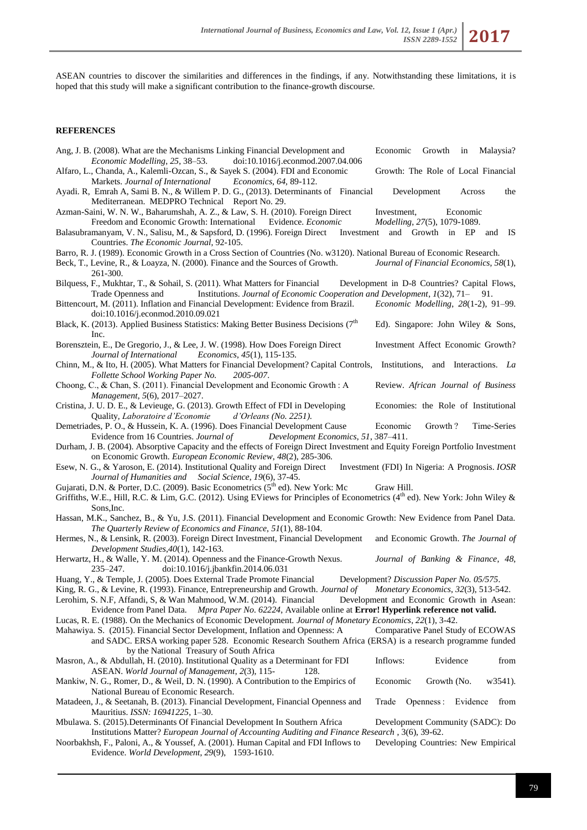ASEAN countries to discover the similarities and differences in the findings, if any. Notwithstanding these limitations, it is hoped that this study will make a significant contribution to the finance-growth discourse.

# **REFERENCES**

| Ang, J. B. (2008). What are the Mechanisms Linking Financial Development and<br>doi:10.1016/j.econmod.2007.04.006<br>Economic Modelling, 25, 38–53.                                                                                                                                                                                                      | Economic<br>Growth<br>Malaysia?<br>in                                                                                         |
|----------------------------------------------------------------------------------------------------------------------------------------------------------------------------------------------------------------------------------------------------------------------------------------------------------------------------------------------------------|-------------------------------------------------------------------------------------------------------------------------------|
| Alfaro, L., Chanda, A., Kalemli-Ozcan, S., & Sayek S. (2004). FDI and Economic<br>Markets. Journal of International Economics, 64, 89-112.<br>Ayadi. R, Emrah A, Sami B. N., & Willem P. D. G., (2013). Determinants of Financial                                                                                                                        | Growth: The Role of Local Financial<br>Development<br>Across<br>the                                                           |
| Mediterranean. MEDPRO Technical Report No. 29.<br>Azman-Saini, W. N. W., Baharumshah, A. Z., & Law, S. H. (2010). Foreign Direct<br>Freedom and Economic Growth: International Evidence. Economic                                                                                                                                                        | Economic<br>Investment,<br>Modelling, 27(5), 1079-1089.                                                                       |
| Balasubramanyam, V. N., Salisu, M., & Sapsford, D. (1996). Foreign Direct<br>Countries. The Economic Journal, 92-105.                                                                                                                                                                                                                                    | Investment and Growth in EP<br>and IS                                                                                         |
| Barro, R. J. (1989). Economic Growth in a Cross Section of Countries (No. w3120). National Bureau of Economic Research.<br>Beck, T., Levine, R., & Loayza, N. (2000). Finance and the Sources of Growth.<br>261-300.                                                                                                                                     | Journal of Financial Economics, 58(1),                                                                                        |
| Bilquess, F., Mukhtar, T., & Sohail, S. (2011). What Matters for Financial                                                                                                                                                                                                                                                                               | Development in D-8 Countries? Capital Flows,                                                                                  |
| Institutions. Journal of Economic Cooperation and Development, 1(32), 71-91.<br>Trade Openness and<br>Bittencourt, M. (2011). Inflation and Financial Development: Evidence from Brazil.<br>doi:10.1016/j.econmod.2010.09.021                                                                                                                            | Economic Modelling, 28(1-2), 91-99.                                                                                           |
| Black, K. (2013). Applied Business Statistics: Making Better Business Decisions (7th<br>Inc.                                                                                                                                                                                                                                                             | Ed). Singapore: John Wiley & Sons,                                                                                            |
| Borensztein, E., De Gregorio, J., & Lee, J. W. (1998). How Does Foreign Direct<br>Journal of International<br><i>Economics</i> , 45(1), 115-135.                                                                                                                                                                                                         | Investment Affect Economic Growth?                                                                                            |
| Chinn, M., & Ito, H. (2005). What Matters for Financial Development? Capital Controls, Institutions, and Interactions. La<br>Follette School Working Paper No.<br>2005-007.                                                                                                                                                                              |                                                                                                                               |
| Choong, C., & Chan, S. (2011). Financial Development and Economic Growth : A<br>Management, 5(6), 2017-2027.                                                                                                                                                                                                                                             | Review. African Journal of Business                                                                                           |
| Cristina, J. U. D. E., & Levieuge, G. (2013). Growth Effect of FDI in Developing<br>Quality, Laboratoire d'Economie<br>$d'Orleans$ (No. 2251).                                                                                                                                                                                                           | Economies: the Role of Institutional                                                                                          |
| Demetriades, P. O., & Hussein, K. A. (1996). Does Financial Development Cause<br>Evidence from 16 Countries. Journal of<br>Development Economics, 51, 387-411.                                                                                                                                                                                           | Growth?<br>Time-Series<br>Economic                                                                                            |
| Durham, J. B. (2004). Absorptive Capacity and the effects of Foreign Direct Investment and Equity Foreign Portfolio Investment<br>on Economic Growth. European Economic Review, 48(2), 285-306.                                                                                                                                                          |                                                                                                                               |
| Esew, N. G., & Yaroson, E. (2014). Institutional Quality and Foreign Direct<br>Journal of Humanities and Social Science, 19(6), 37-45.                                                                                                                                                                                                                   | Investment (FDI) In Nigeria: A Prognosis. IOSR                                                                                |
| Gujarati, D.N. & Porter, D.C. (2009). Basic Econometrics (5 <sup>th</sup> ed). New York: Mc<br>Griffiths, W.E., Hill, R.C. & Lim, G.C. (2012). Using EViews for Principles of Econometrics (4 <sup>th</sup> ed). New York: John Wiley &<br>Sons, Inc.                                                                                                    | Graw Hill.                                                                                                                    |
| Hassan, M.K., Sanchez, B., & Yu, J.S. (2011). Financial Development and Economic Growth: New Evidence from Panel Data.                                                                                                                                                                                                                                   |                                                                                                                               |
| The Quarterly Review of Economics and Finance, 51(1), 88-104.<br>Hermes, N., & Lensink, R. (2003). Foreign Direct Investment, Financial Development<br>Development Studies, 40(1), 142-163.                                                                                                                                                              | and Economic Growth. The Journal of                                                                                           |
| Herwartz, H., & Walle, Y. M. (2014). Openness and the Finance-Growth Nexus.<br>235–247.<br>doi:10.1016/j.jbankfin.2014.06.031                                                                                                                                                                                                                            | Journal of Banking & Finance, 48,                                                                                             |
| Huang, Y., & Temple, J. (2005). Does External Trade Promote Financial<br>King, R. G., & Levine, R. (1993). Finance, Entrepreneurship and Growth. <i>Journal of</i><br>Lerohim, S. N.F, Affandi, S, & Wan Mahmood, W.M. (2014). Financial<br>Mpra Paper No. 62224, Available online at Error! Hyperlink reference not valid.<br>Evidence from Panel Data. | Development? Discussion Paper No. 05/575.<br>Monetary Economics, 32(3), 513-542.<br>Development and Economic Growth in Asean: |
| Lucas, R. E. (1988). On the Mechanics of Economic Development. Journal of Monetary Economics, 22(1), 3-42.<br>Mahawiya. S. (2015). Financial Sector Development, Inflation and Openness: A                                                                                                                                                               | Comparative Panel Study of ECOWAS                                                                                             |
| and SADC. ERSA working paper 528. Economic Research Southern Africa (ERSA) is a research programme funded<br>by the National Treasury of South Africa                                                                                                                                                                                                    |                                                                                                                               |
| Masron, A., & Abdullah, H. (2010). Institutional Quality as a Determinant for FDI<br>ASEAN. World Journal of Management, 2(3), 115-<br>128.                                                                                                                                                                                                              | Inflows:<br>Evidence<br>from                                                                                                  |
| Mankiw, N. G., Romer, D., & Weil, D. N. (1990). A Contribution to the Empirics of<br>National Bureau of Economic Research.                                                                                                                                                                                                                               | Economic<br>w3541).<br>Growth (No.                                                                                            |
| Matadeen, J., & Seetanah, B. (2013). Financial Development, Financial Openness and<br>Mauritius. ISSN: 16941225, 1-30.                                                                                                                                                                                                                                   | Trade<br>Openness :<br>Evidence<br>from                                                                                       |
| Mbulawa. S. (2015). Determinants Of Financial Development In Southern Africa<br>Institutions Matter? European Journal of Accounting Auditing and Finance Research , 3(6), 39-62.                                                                                                                                                                         | Development Community (SADC): Do                                                                                              |
| Noorbakhsh, F., Paloni, A., & Youssef, A. (2001). Human Capital and FDI Inflows to<br>Evidence. World Development, 29(9), 1593-1610.                                                                                                                                                                                                                     | Developing Countries: New Empirical                                                                                           |